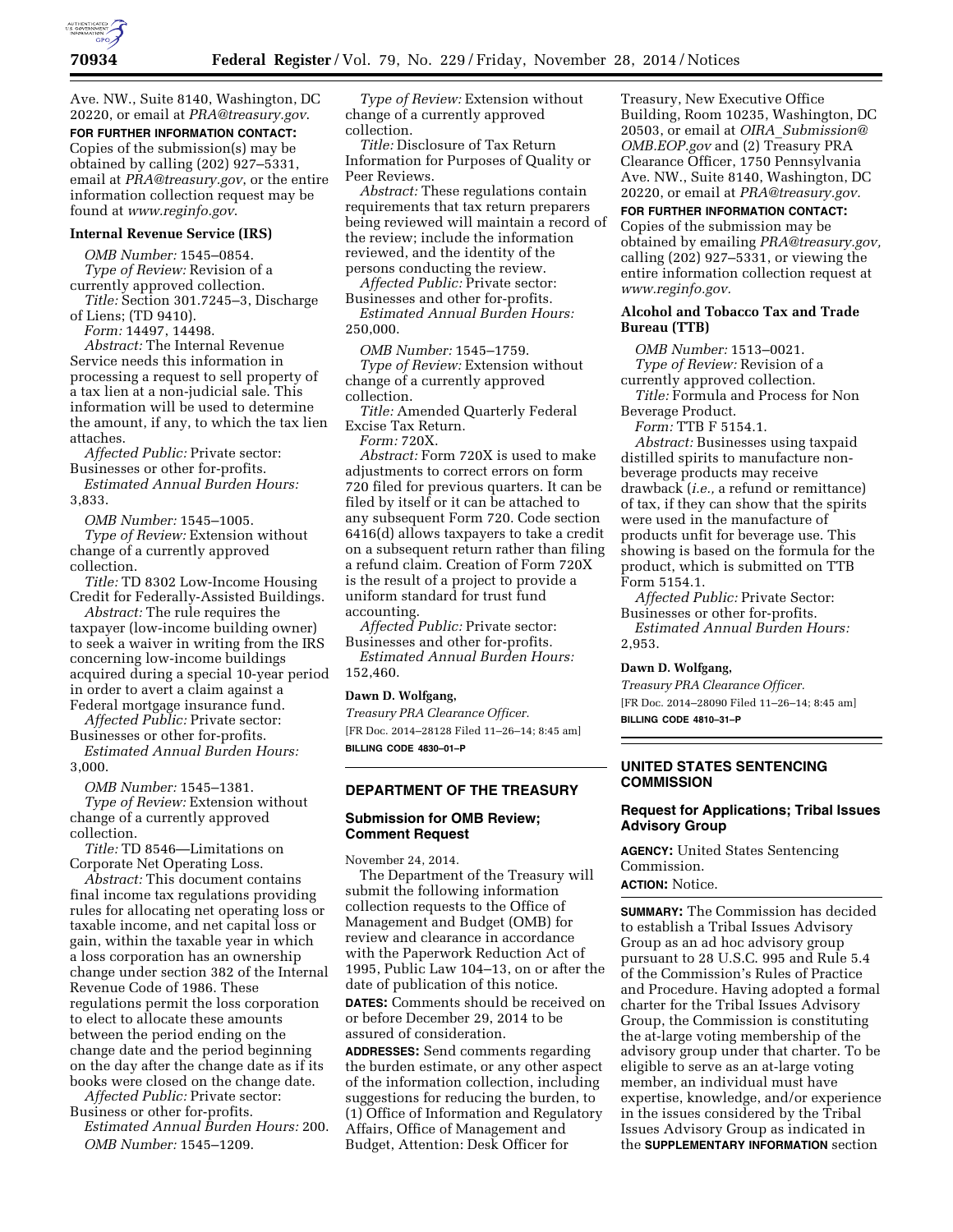

Ave. NW., Suite 8140, Washington, DC 20220, or email at *[PRA@treasury.gov](mailto:PRA@treasury.gov)*.

**FOR FURTHER INFORMATION CONTACT:**  Copies of the submission(s) may be obtained by calling (202) 927–5331, email at *[PRA@treasury.gov](mailto:PRA@treasury.gov)*, or the entire information collection request may be found at *[www.reginfo.gov](http://www.reginfo.gov)*.

#### **Internal Revenue Service (IRS)**

*OMB Number:* 1545–0854. *Type of Review:* Revision of a currently approved collection.

*Title:* Section 301.7245–3, Discharge of Liens; (TD 9410).

*Form:* 14497, 14498.

*Abstract:* The Internal Revenue Service needs this information in processing a request to sell property of a tax lien at a non-judicial sale. This information will be used to determine the amount, if any, to which the tax lien attaches.

*Affected Public:* Private sector: Businesses or other for-profits.

*Estimated Annual Burden Hours:*  3,833.

*OMB Number:* 1545–1005. *Type of Review:* Extension without change of a currently approved

collection. *Title:* TD 8302 Low-Income Housing

Credit for Federally-Assisted Buildings. *Abstract:* The rule requires the taxpayer (low-income building owner) to seek a waiver in writing from the IRS

concerning low-income buildings acquired during a special 10-year period in order to avert a claim against a Federal mortgage insurance fund.

*Affected Public:* Private sector: Businesses or other for-profits.

*Estimated Annual Burden Hours:*  3,000.

*OMB Number:* 1545–1381.

*Type of Review:* Extension without change of a currently approved collection.

*Title:* TD 8546—Limitations on Corporate Net Operating Loss.

*Abstract:* This document contains final income tax regulations providing rules for allocating net operating loss or taxable income, and net capital loss or gain, within the taxable year in which a loss corporation has an ownership change under section 382 of the Internal Revenue Code of 1986. These regulations permit the loss corporation to elect to allocate these amounts between the period ending on the change date and the period beginning on the day after the change date as if its books were closed on the change date.

*Affected Public:* Private sector: Business or other for-profits.

*Estimated Annual Burden Hours:* 200. *OMB Number:* 1545–1209.

*Type of Review:* Extension without change of a currently approved collection.

*Title:* Disclosure of Tax Return Information for Purposes of Quality or Peer Reviews.

*Abstract:* These regulations contain requirements that tax return preparers being reviewed will maintain a record of the review; include the information reviewed, and the identity of the persons conducting the review.

*Affected Public:* Private sector: Businesses and other for-profits.

*Estimated Annual Burden Hours:*  250,000.

*OMB Number:* 1545–1759.

*Type of Review:* Extension without change of a currently approved collection.

*Title:* Amended Quarterly Federal Excise Tax Return.

*Form:* 720X.

*Abstract:* Form 720X is used to make adjustments to correct errors on form 720 filed for previous quarters. It can be filed by itself or it can be attached to any subsequent Form 720. Code section 6416(d) allows taxpayers to take a credit on a subsequent return rather than filing a refund claim. Creation of Form 720X is the result of a project to provide a uniform standard for trust fund accounting.

*Affected Public:* Private sector: Businesses and other for-profits.

*Estimated Annual Burden Hours:*  152,460.

### **Dawn D. Wolfgang,**

*Treasury PRA Clearance Officer.*  [FR Doc. 2014–28128 Filed 11–26–14; 8:45 am] **BILLING CODE 4830–01–P** 

# **DEPARTMENT OF THE TREASURY**

# **Submission for OMB Review; Comment Request**

November 24, 2014.

The Department of the Treasury will submit the following information collection requests to the Office of Management and Budget (OMB) for review and clearance in accordance with the Paperwork Reduction Act of 1995, Public Law 104–13, on or after the date of publication of this notice. **DATES:** Comments should be received on or before December 29, 2014 to be assured of consideration.

**ADDRESSES:** Send comments regarding the burden estimate, or any other aspect of the information collection, including suggestions for reducing the burden, to (1) Office of Information and Regulatory Affairs, Office of Management and Budget, Attention: Desk Officer for

Treasury, New Executive Office Building, Room 10235, Washington, DC 20503, or email at *OIRA*\_*[Submission@](mailto:OIRA_Submission@OMB.EOP.gov) [OMB.EOP.gov](mailto:OIRA_Submission@OMB.EOP.gov)* and (2) Treasury PRA Clearance Officer, 1750 Pennsylvania Ave. NW., Suite 8140, Washington, DC 20220, or email at *[PRA@treasury.gov.](mailto:PRA@treasury.gov)* 

**FOR FURTHER INFORMATION CONTACT:** 

Copies of the submission may be obtained by emailing *[PRA@treasury.gov,](mailto:PRA@treasury.gov)*  calling (202) 927–5331, or viewing the entire information collection request at *[www.reginfo.gov.](http://www.reginfo.gov)* 

### **Alcohol and Tobacco Tax and Trade Bureau (TTB)**

*OMB Number:* 1513–0021. *Type of Review:* Revision of a

currently approved collection.

*Title:* Formula and Process for Non Beverage Product.

*Form:* TTB F 5154.1.

*Abstract:* Businesses using taxpaid distilled spirits to manufacture nonbeverage products may receive drawback (*i.e.,* a refund or remittance) of tax, if they can show that the spirits were used in the manufacture of products unfit for beverage use. This showing is based on the formula for the product, which is submitted on TTB Form 5154.1.

*Affected Public:* Private Sector: Businesses or other for-profits. *Estimated Annual Burden Hours:*  2,953.

### **Dawn D. Wolfgang,**

*Treasury PRA Clearance Officer.*  [FR Doc. 2014–28090 Filed 11–26–14; 8:45 am] **BILLING CODE 4810–31–P** 

### **UNITED STATES SENTENCING COMMISSION**

## **Request for Applications; Tribal Issues Advisory Group**

**AGENCY:** United States Sentencing Commission.

# **ACTION:** Notice.

**SUMMARY:** The Commission has decided to establish a Tribal Issues Advisory Group as an ad hoc advisory group pursuant to 28 U.S.C. 995 and Rule 5.4 of the Commission's Rules of Practice and Procedure. Having adopted a formal charter for the Tribal Issues Advisory Group, the Commission is constituting the at-large voting membership of the advisory group under that charter. To be eligible to serve as an at-large voting member, an individual must have expertise, knowledge, and/or experience in the issues considered by the Tribal Issues Advisory Group as indicated in the **SUPPLEMENTARY INFORMATION** section